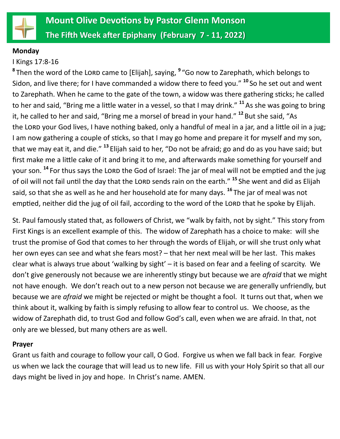

#### **Monday**

## I Kings 17:8-16

<sup>8</sup> Then the word of the LORD came to [Elijah], saying, <sup>9</sup> "Go now to Zarephath, which belongs to Sidon, and live there; for I have commanded a widow there to feed you." **<sup>10</sup>** So he set out and went to Zarephath. When he came to the gate of the town, a widow was there gathering sticks; he called to her and said, "Bring me a little water in a vessel, so that I may drink." **<sup>11</sup>**As she was going to bring it, he called to her and said, "Bring me a morsel of bread in your hand." **<sup>12</sup>** But she said, "As the LORD your God lives, I have nothing baked, only a handful of meal in a jar, and a little oil in a jug; I am now gathering a couple of sticks, so that I may go home and prepare it for myself and my son, that we may eat it, and die." **<sup>13</sup>** Elijah said to her, "Do not be afraid; go and do as you have said; but first make me a little cake of it and bring it to me, and afterwards make something for yourself and your son.<sup>14</sup> For thus says the LORD the God of Israel: The jar of meal will not be emptied and the jug of oil will not fail until the day that the Lorn sends rain on the earth." <sup>15</sup> She went and did as Elijah said, so that she as well as he and her household ate for many days. **<sup>16</sup>** The jar of meal was not emptied, neither did the jug of oil fail, according to the word of the LORD that he spoke by Elijah.

St. Paul famously stated that, as followers of Christ, we "walk by faith, not by sight." This story from First Kings is an excellent example of this. The widow of Zarephath has a choice to make: will she trust the promise of God that comes to her through the words of Elijah, or will she trust only what her own eyes can see and what she fears most? – that her next meal will be her last. This makes clear what is always true about 'walking by sight' – it is based on fear and a feeling of scarcity. We don't give generously not because we are inherently stingy but because we are *afraid* that we might not have enough. We don't reach out to a new person not because we are generally unfriendly, but because we are *afraid* we might be rejected or might be thought a fool. It turns out that, when we think about it, walking by faith is simply refusing to allow fear to control us. We choose, as the widow of Zarephath did, to trust God and follow God's call, even when we are afraid. In that, not only are we blessed, but many others are as well.

#### **Prayer**

Grant us faith and courage to follow your call, O God. Forgive us when we fall back in fear. Forgive us when we lack the courage that will lead us to new life. Fill us with your Holy Spirit so that all our days might be lived in joy and hope. In Christ's name. AMEN.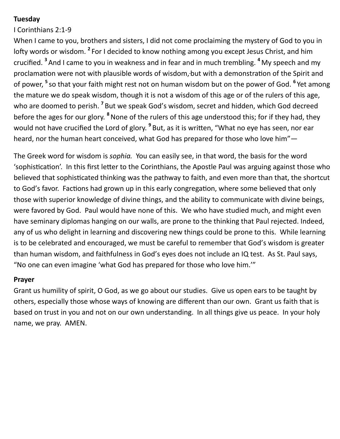## **Tuesday**

## I Corinthians 2:1-9

When I came to you, brothers and sisters, I did not come proclaiming the mystery of God to you in lofty words or wisdom. <sup>2</sup> For I decided to know nothing among you except Jesus Christ, and him crucified. **<sup>3</sup>** And I came to you in weakness and in fear and in much trembling. **<sup>4</sup>** My speech and my proclamation were not with plausible words of wisdom, but with a demonstration of the Spirit and of power, **<sup>5</sup>** so that your faith might rest not on human wisdom but on the power of God. **<sup>6</sup>** Yet among the mature we do speak wisdom, though it is not a wisdom of this age or of the rulers of this age, who are doomed to perish. <sup>7</sup> But we speak God's wisdom, secret and hidden, which God decreed before the ages for our glory. **<sup>8</sup>**None of the rulers of this age understood this; for if they had, they would not have crucified the Lord of glory. **<sup>9</sup>** But, as it is written, "What no eye has seen, nor ear heard, nor the human heart conceived, what God has prepared for those who love him"—

The Greek word for wisdom is *sophia.* You can easily see, in that word, the basis for the word 'sophistication'. In this first letter to the Corinthians, the Apostle Paul was arguing against those who believed that sophisticated thinking was the pathway to faith, and even more than that, the shortcut to God's favor. Factions had grown up in this early congregation, where some believed that only those with superior knowledge of divine things, and the ability to communicate with divine beings, were favored by God. Paul would have none of this. We who have studied much, and might even have seminary diplomas hanging on our walls, are prone to the thinking that Paul rejected. Indeed, any of us who delight in learning and discovering new things could be prone to this. While learning is to be celebrated and encouraged, we must be careful to remember that God's wisdom is greater than human wisdom, and faithfulness in God's eyes does not include an IQ test. As St. Paul says, "No one can even imagine 'what God has prepared for those who love him.'"

#### **Prayer**

Grant us humility of spirit, O God, as we go about our studies. Give us open ears to be taught by others, especially those whose ways of knowing are different than our own. Grant us faith that is based on trust in you and not on our own understanding. In all things give us peace. In your holy name, we pray. AMEN.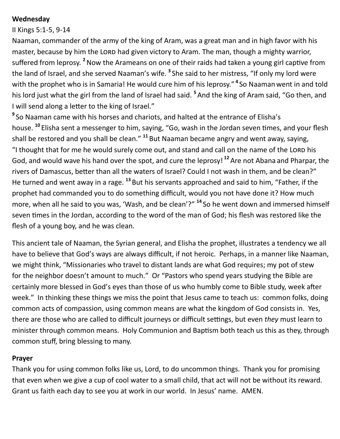## **Wednesday**

#### II Kings 5:1-5, 9-14

Naaman, commander of the army of the king of Aram, was a great man and in high favor with his master, because by him the LORD had given victory to Aram. The man, though a mighty warrior, suffered from leprosy. **<sup>2</sup>**Now the Arameans on one of their raids had taken a young girl captive from the land of Israel, and she served Naaman's wife. **<sup>3</sup>** She said to her mistress, "If only my lord were with the prophet who is in Samaria! He would cure him of his leprosy." **4** So Naamanwent in and told his lord just what the girl from the land of Israel had said. **<sup>5</sup>** And the king of Aram said, "Go then, and I will send along a letter to the king of Israel."

**9** So Naaman came with his horses and chariots, and halted at the entrance of Elisha's house. **<sup>10</sup>** Elisha sent a messenger to him, saying, "Go, wash in the Jordan seven times, and your flesh shall be restored and you shall be clean." **<sup>11</sup>** But Naaman became angry and went away, saying, "I thought that for me he would surely come out, and stand and call on the name of the LORD his God, and would wave his hand over the spot, and cure the leprosy! **<sup>12</sup>**Are not Abana and Pharpar, the rivers of Damascus, better than all the waters of Israel? Could I not wash in them, and be clean?" He turned and went away in a rage. **<sup>13</sup>** But his servants approached and said to him, "Father, if the prophet had commanded you to do something difficult, would you not have done it? How much more, when all he said to you was, 'Wash, and be clean'?" **<sup>14</sup>** So he went down and immersed himself seven times in the Jordan, according to the word of the man of God; his flesh was restored like the flesh of a young boy, and he was clean.

This ancient tale of Naaman, the Syrian general, and Elisha the prophet, illustrates a tendency we all have to believe that God's ways are always difficult, if not heroic. Perhaps, in a manner like Naaman, we might think, "Missionaries who travel to distant lands are what God requires; my pot of stew for the neighbor doesn't amount to much." Or "Pastors who spend years studying the Bible are certainly more blessed in God's eyes than those of us who humbly come to Bible study, week after week." In thinking these things we miss the point that Jesus came to teach us: common folks, doing common acts of compassion, using common means are what the kingdom of God consists in. Yes, there are those who are called to difficult journeys or difficult settings, but even *they* must learn to minister through common means. Holy Communion and Baptism both teach us this as they, through common stuff, bring blessing to many.

#### **Prayer**

Thank you for using common folks like us, Lord, to do uncommon things. Thank you for promising that even when we give a cup of cool water to a small child, that act will not be without its reward. Grant us faith each day to see you at work in our world. In Jesus' name. AMEN.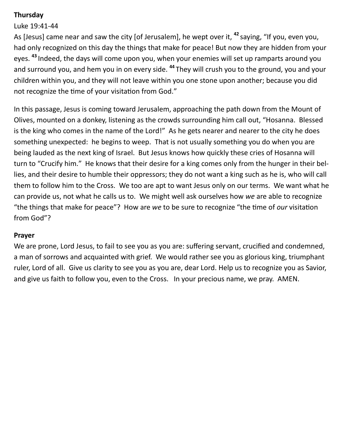# **Thursday**

# Luke 19:41-44

As [Jesus] came near and saw the city [of Jerusalem], he wept over it, **<sup>42</sup>** saying, "If you, even you, had only recognized on this day the things that make for peace! But now they are hidden from your eyes. **<sup>43</sup>** Indeed, the days will come upon you, when your enemies will set up ramparts around you and surround you, and hem you in on every side. **<sup>44</sup>** They will crush you to the ground, you and your children within you, and they will not leave within you one stone upon another; because you did not recognize the time of your visitation from God."

In this passage, Jesus is coming toward Jerusalem, approaching the path down from the Mount of Olives, mounted on a donkey, listening as the crowds surrounding him call out, "Hosanna. Blessed is the king who comes in the name of the Lord!" As he gets nearer and nearer to the city he does something unexpected: he begins to weep. That is not usually something you do when you are being lauded as the next king of Israel. But Jesus knows how quickly these cries of Hosanna will turn to "Crucify him." He knows that their desire for a king comes only from the hunger in their bellies, and their desire to humble their oppressors; they do not want a king such as he is, who will call them to follow him to the Cross. We too are apt to want Jesus only on our terms. We want what he can provide us, not what he calls us to. We might well ask ourselves how *we* are able to recognize "the things that make for peace"? How are *we* to be sure to recognize "the time of *our* visitation from God"?

#### **Prayer**

We are prone, Lord Jesus, to fail to see you as you are: suffering servant, crucified and condemned, a man of sorrows and acquainted with grief. We would rather see you as glorious king, triumphant ruler, Lord of all. Give us clarity to see you as you are, dear Lord. Help us to recognize you as Savior, and give us faith to follow you, even to the Cross. In your precious name, we pray. AMEN.